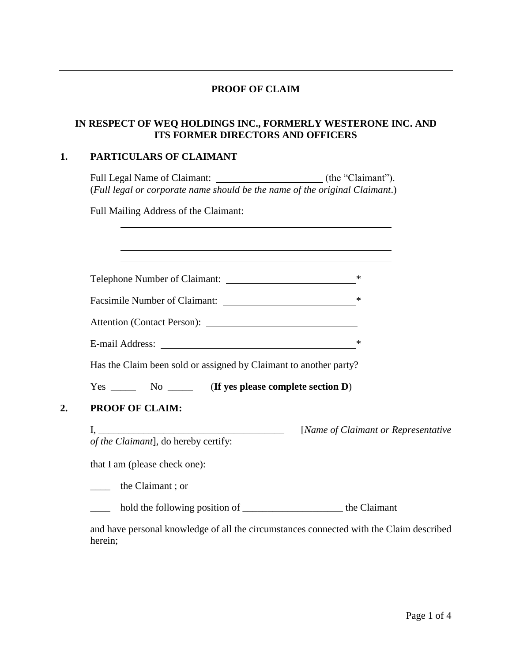### **PROOF OF CLAIM**

## **IN RESPECT OF WEQ HOLDINGS INC., FORMERLY WESTERONE INC. AND ITS FORMER DIRECTORS AND OFFICERS**

# **1. PARTICULARS OF CLAIMANT**

Full Legal Name of Claimant: \_\_\_\_\_\_\_\_\_\_\_\_\_\_\_\_\_\_\_\_\_\_\_\_\_\_ (the "Claimant"). (*Full legal or corporate name should be the name of the original Claimant*.)

Full Mailing Address of the Claimant:

| Telephone Number of Claimant:                                     | ∗                                    |
|-------------------------------------------------------------------|--------------------------------------|
|                                                                   |                                      |
|                                                                   |                                      |
|                                                                   | ∗                                    |
| Has the Claim been sold or assigned by Claimant to another party? |                                      |
|                                                                   |                                      |
| PROOF OF CLAIM:                                                   |                                      |
| of the Claimant], do hereby certify:                              | [Name of Claimant or Representative] |
| that I am (please check one):                                     |                                      |
| the Claimant; or                                                  |                                      |
|                                                                   |                                      |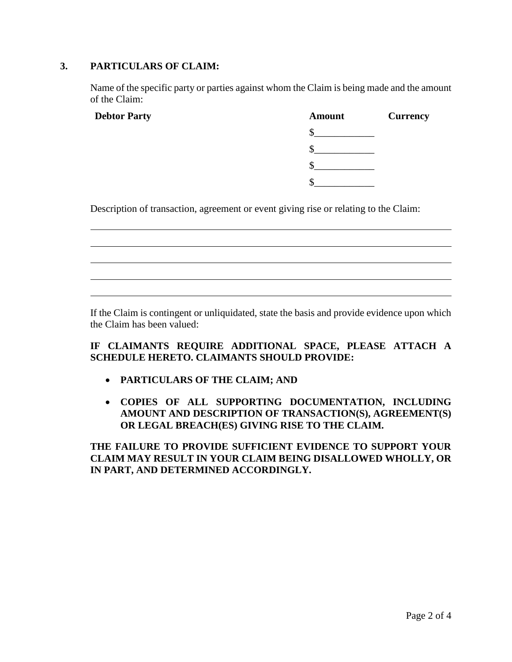### **3. PARTICULARS OF CLAIM:**

Name of the specific party or parties against whom the Claim is being made and the amount of the Claim:

| <b>Debtor Party</b> | <b>Amount</b> | <b>Currency</b> |
|---------------------|---------------|-----------------|
|                     |               |                 |
|                     |               |                 |
|                     |               |                 |
|                     |               |                 |
|                     |               |                 |

Description of transaction, agreement or event giving rise or relating to the Claim:

If the Claim is contingent or unliquidated, state the basis and provide evidence upon which the Claim has been valued:

# **IF CLAIMANTS REQUIRE ADDITIONAL SPACE, PLEASE ATTACH A SCHEDULE HERETO. CLAIMANTS SHOULD PROVIDE:**

- **PARTICULARS OF THE CLAIM; AND**
- **COPIES OF ALL SUPPORTING DOCUMENTATION, INCLUDING AMOUNT AND DESCRIPTION OF TRANSACTION(S), AGREEMENT(S) OR LEGAL BREACH(ES) GIVING RISE TO THE CLAIM.**

**THE FAILURE TO PROVIDE SUFFICIENT EVIDENCE TO SUPPORT YOUR CLAIM MAY RESULT IN YOUR CLAIM BEING DISALLOWED WHOLLY, OR IN PART, AND DETERMINED ACCORDINGLY.**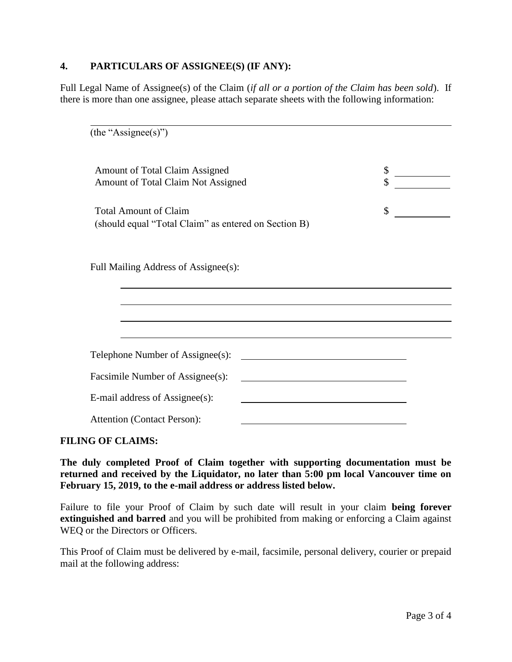### **4. PARTICULARS OF ASSIGNEE(S) (IF ANY):**

Full Legal Name of Assignee(s) of the Claim (*if all or a portion of the Claim has been sold*). If there is more than one assignee, please attach separate sheets with the following information:

| (the "Assignee(s)")                                                                  |          |
|--------------------------------------------------------------------------------------|----------|
| <b>Amount of Total Claim Assigned</b><br>Amount of Total Claim Not Assigned          | \$<br>\$ |
| <b>Total Amount of Claim</b><br>(should equal "Total Claim" as entered on Section B) | \$       |
| Full Mailing Address of Assignee(s):                                                 |          |
|                                                                                      |          |
|                                                                                      |          |
| Telephone Number of Assignee(s):                                                     |          |
| Facsimile Number of Assignee(s):                                                     |          |
| E-mail address of Assignee(s):                                                       |          |
| <b>Attention (Contact Person):</b>                                                   |          |

### **FILING OF CLAIMS:**

**The duly completed Proof of Claim together with supporting documentation must be returned and received by the Liquidator, no later than 5:00 pm local Vancouver time on February 15, 2019, to the e-mail address or address listed below.**

Failure to file your Proof of Claim by such date will result in your claim **being forever extinguished and barred** and you will be prohibited from making or enforcing a Claim against WEQ or the Directors or Officers.

This Proof of Claim must be delivered by e-mail, facsimile, personal delivery, courier or prepaid mail at the following address: